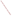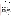## **THE ENVIRONMENTAL TECHNOLOGY VERIFICATION**







# **ETV Joint Verification Statement**

| TECHNOLOGY TYPE: CONTINUOUS EMISSION MONITOR |                                                       |                                            |
|----------------------------------------------|-------------------------------------------------------|--------------------------------------------|
| <b>APPLICATION:</b>                          | <b>MEASURING MERCURY EMISSIONS</b>                    |                                            |
| <b>TECHNOLOGY NAME: Argus-Hg 1000</b>        |                                                       |                                            |
| <b>COMPANY:</b>                              | <b>Envimetrics</b>                                    |                                            |
| <b>ADDRESS:</b>                              | P.O. Box 6<br>Pluckemin, NJ 07078 FAX:                | PHONE: (609) 243-3212<br>$(908)781 - 1607$ |
| <b>WEB SITE:</b><br>$E\text{-}MAIL:$         | www.envimetrics.com/index.htm<br>Eeius@mindspring.com |                                            |

The U.S. Environmental Protection Agency (EPA) supports the Environmental Technology Verification (ETV) Program to facilitate the deployment of innovative or improved environmental technologies through performance verification and dissemination of information. The goal of the ETV Program is to further environmental protection by accelerating the acceptance and use of improved and cost-effective technologies. ETV seeks to achieve this goal by providing high-quality, peer-reviewed data on technology performance to those involved in the design, distribution, financing, permitting, purchase, and use of environmental technologies.

ETV works in partnership with recognized standards and testing organizations, with stakeholder groups (consisting of buyers, vendor organizations, and permitters), and with individual technology developers. The program evaluates the performance of innovative technologies by developing test plans that are responsive to the needs of stakeholders, conducting field or laboratory tests (as appropriate), collecting and analyzing data, and preparing peer-reviewed reports. All evaluations are conducted in accordance with rigorous quality assurance (QA) protocols to ensure that data of known and adequate quality are generated and that the results are defensible.

The Advanced Monitoring Systems (AMS) Center, one of seven technology areas under ETV, is operated by Battelle in cooperation with EPA's National Exposure Research Laboratory. The AMS Center has recently evaluated the performance of continuous emission monitors (CEMs) to measure mercury emissions. This verification statement provides a summary of the test results for the Envimetrics Argus-Hg 1000 CEM.

### **VERIFICATION TEST DESCRIPTION**

The purpose of this verification test was to evaluate the performance of mercury CEMs at a full-scale field location, over a substantial duration of continuous operation. The CEMs were challenged by stack gases generated from the thermal treatment of a variety of actual wastes in the Toxic Substances Control Act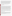Incinerator (TSCAI) at the East Tennessee Technology Park in Oak Ridge, Tennessee. CEM responses were compared with reference mercury measurements of total  $(Hg_T)$ , oxidized, and elemental  $(Hg^0)$  mercury. Mercury standard gases were used to challenge the CEMs to assess stability in long-term operation, and the instruments were operated for several weeks by TSCAI staff to assess operational aspects of their use. The reference method for establishing the quantitative performance of the tested technologies was the Ontario Hydro (OH) method. For the Argus-Hg 1000, relative accuracy (RA), correlation with the reference method, and precision (i.e., repeatability at stable test conditions) were assessed for total mercury in the stack gas emissions. Sampling system bias, calibration and zero drift, and response time were assessed for Hg° only, using commercial compressed gas standards of Hg°. The data completeness, reliability, and maintainability of the Argus-Hg 1000 over the course of the verification test were assessed during several weeks of continuous operation.

QA oversight of verification testing was provided by Battelle. Battelle QA staff conducted a technical systems audit, a performance evaluation audit, and a data quality audit of 10% of the test data.

#### **TECHNOLOGY DESCRIPTION**

The following description of the Argus-Hg 1000 was provided by the vendor and does not represent verified information.

The Argus-Hg 1000 uses atomic emission spectroscopy to measure total mercury in flue gas. Flue gas is sampled with a filtered probe inserted in the flue duct. Heated Teflon sample lines transport the flue gas from the sample probe to the CEM. The Argus-Hg 1000 measures total mercury with the aid of a catalytic converter that reduces molecular forms of mercury to atomic mercury. Wet chemical reagents are not used by the Argus-Hg 1000. A chiller removes water vapor before flue gas enters the Argus-Hg 1000. The Argus-Hg 1000 samples the flue gas, and the mercury is preconcentrated by an absorbent. The absorbent is thermally desorbed, and the mercury is analyzed by a patented microwave plasma source, which excites emission from the mercury atoms, for detection by a low-resolution ultraviolet spectrometer. The Argus-Hg 1000 uses argon as a carrier gas, and in routine operation the argon gas is consumed at a rate of one gas cylinder (approximately 200 ft<sup>3</sup> of gas) per year or more of operation. The Argus-Hg 1000 requires one to two nanograms of mercury to make a measurement and does not need a zero adjust. Sample time is approximately three minutes at sampling rates close to two liters per minute. In this verification test, the Argus-Hg 1000 provided a reading of mercury concentration about every seven minutes.

The Argus-Hg 1000 is microprocessor-controlled and can operate unattended when measuring  $Hg_T$ , as in this test. When manually operated, the Argus-Hg 1000 also can determine both  $Hg^{\circ}$  and  $Hg_T$ . The Argus-Hg 1000 is packaged in two 48-cm (19-in.) wide waist-high racks. Its dimensions are 48 cm by 61 cm by 71 cm (19 in. by 24 in. by 28 in.). Data are provided in multiple formats. The Argus-Hg 1000 provides analog signals and contact closures for acquisition by a data logger. Alternately, data can be downloaded from the internal microprocessor by a computer.

#### **VERIFICATION OF PERFORMANCE**

**Relative Accuracy:** The accuracy of the Argus-Hg 1000 for measuring  $Hg_T$  was verified by comparison with the results of 18 OH sampling runs at an  $Hg_T$  level from <1 to 200 micrograms per dry standard cubic meter of flue gas. The overall RA was 76.5%, but when the results of OH Run 16 are excluded, the overall RA was 55.5%. (In OH Run 16 the TSCAI burned packets of solid waste at relatively high mercury content, with no liquid waste. The flue gas mercury content in that run was likely highly variable and, therefore, difficult to determine accurately with a batch analyzer such as the Argus-Hg 1000.)

**Correlation with Reference Method Results:** Correlation of the Argus-Hg 1000 Hg<sub>T</sub> results with the OH results showed an r<sup>2</sup> value of 0.839 when all 18 OH results were included. With OH Run 16 excluded, the overall r 2 was 0.976.